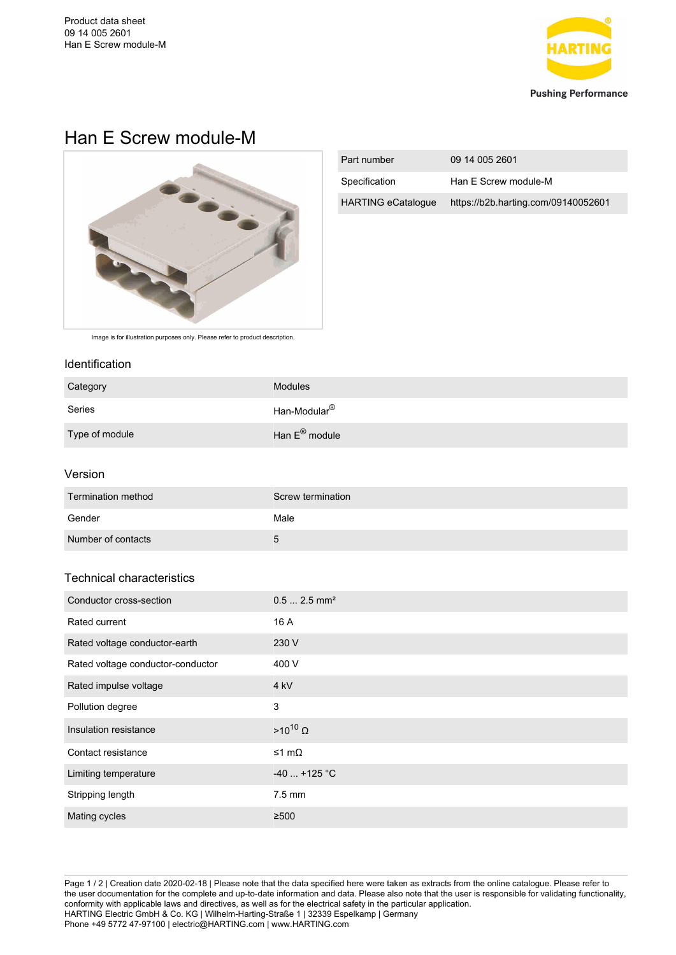

# Han E Screw module-M



| Part number               | 09 14 005 2601                      |
|---------------------------|-------------------------------------|
| Specification             | Han E Screw module-M                |
| <b>HARTING eCatalogue</b> | https://b2b.harting.com/09140052601 |

Image is for illustration purposes only. Please refer to product description.

#### Identification

| Category       | <b>Modules</b>             |
|----------------|----------------------------|
| Series         | Han-Modular <sup>®</sup>   |
| Type of module | Han $E^{\circledR}$ module |

## Version

| Termination method | Screw termination |
|--------------------|-------------------|
| Gender             | Male              |
| Number of contacts | 5                 |

## Technical characteristics

| Conductor cross-section           | $0.5$ 2.5 mm <sup>2</sup> |
|-----------------------------------|---------------------------|
| Rated current                     | 16 A                      |
| Rated voltage conductor-earth     | 230 V                     |
| Rated voltage conductor-conductor | 400 V                     |
| Rated impulse voltage             | 4 kV                      |
| Pollution degree                  | 3                         |
| Insulation resistance             | $>10^{10}$ Ω              |
| Contact resistance                | ≤1 mΩ                     |
| Limiting temperature              | $-40$ +125 °C             |
| Stripping length                  | $7.5 \text{ mm}$          |
| Mating cycles                     | $\geq 500$                |

Page 1 / 2 | Creation date 2020-02-18 | Please note that the data specified here were taken as extracts from the online catalogue. Please refer to the user documentation for the complete and up-to-date information and data. Please also note that the user is responsible for validating functionality, conformity with applicable laws and directives, as well as for the electrical safety in the particular application. HARTING Electric GmbH & Co. KG | Wilhelm-Harting-Straße 1 | 32339 Espelkamp | Germany Phone +49 5772 47-97100 | electric@HARTING.com | www.HARTING.com